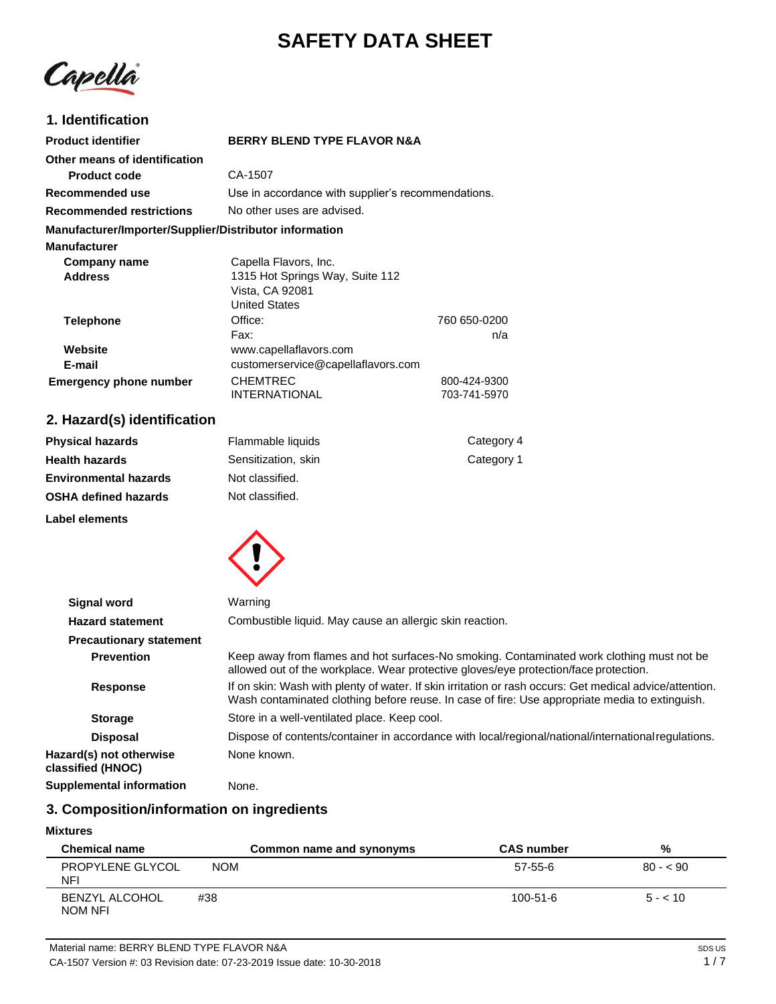# **SAFETY DATA SHEET**

Capella

# **1. Identification**

| <b>Product identifier</b>                              | <b>BERRY BLEND TYPE FLAVOR N&amp;A</b>                                     |                              |
|--------------------------------------------------------|----------------------------------------------------------------------------|------------------------------|
| Other means of identification<br><b>Product code</b>   | CA-1507                                                                    |                              |
| Recommended use                                        | Use in accordance with supplier's recommendations.                         |                              |
| <b>Recommended restrictions</b>                        | No other uses are advised.                                                 |                              |
| Manufacturer/Importer/Supplier/Distributor information |                                                                            |                              |
| <b>Manufacturer</b>                                    |                                                                            |                              |
| Company name                                           | Capella Flavors, Inc.                                                      |                              |
| <b>Address</b>                                         | 1315 Hot Springs Way, Suite 112<br>Vista, CA 92081<br><b>United States</b> |                              |
| <b>Telephone</b>                                       | Office:<br>Fax:                                                            | 760 650-0200<br>n/a          |
| Website                                                | www.capellaflavors.com                                                     |                              |
| E-mail                                                 | customerservice@capellaflavors.com                                         |                              |
| <b>Emergency phone number</b>                          | <b>CHEMTREC</b><br><b>INTERNATIONAL</b>                                    | 800-424-9300<br>703-741-5970 |

# **2. Hazard(s) identification**

| <b>Physical hazards</b>      | Flammable liquids   | Category 4 |
|------------------------------|---------------------|------------|
| <b>Health hazards</b>        | Sensitization, skin | Category 1 |
| <b>Environmental hazards</b> | Not classified.     |            |
| <b>OSHA defined hazards</b>  | Not classified.     |            |
| Label elements               |                     |            |



| <b>Signal word</b>                           | Warning                                                                                                                                                                                                   |  |
|----------------------------------------------|-----------------------------------------------------------------------------------------------------------------------------------------------------------------------------------------------------------|--|
| <b>Hazard statement</b>                      | Combustible liquid. May cause an allergic skin reaction.                                                                                                                                                  |  |
| <b>Precautionary statement</b>               |                                                                                                                                                                                                           |  |
| <b>Prevention</b>                            | Keep away from flames and hot surfaces-No smoking. Contaminated work clothing must not be<br>allowed out of the workplace. Wear protective gloves/eye protection/face protection.                         |  |
| <b>Response</b>                              | If on skin: Wash with plenty of water. If skin irritation or rash occurs: Get medical advice/attention.<br>Wash contaminated clothing before reuse. In case of fire: Use appropriate media to extinguish. |  |
| <b>Storage</b>                               | Store in a well-ventilated place. Keep cool.                                                                                                                                                              |  |
| <b>Disposal</b>                              | Dispose of contents/container in accordance with local/regional/national/international regulations.                                                                                                       |  |
| Hazard(s) not otherwise<br>classified (HNOC) | None known.                                                                                                                                                                                               |  |
| Supplemental information                     | None.                                                                                                                                                                                                     |  |

# **3. Composition/information on ingredients**

### **Mixtures**

| <b>Chemical name</b>             |            | Common name and synonyms | <b>CAS number</b> | %         |
|----------------------------------|------------|--------------------------|-------------------|-----------|
| PROPYLENE GLYCOL<br>NFI          | <b>NOM</b> |                          | 57-55-6           | $80 - 90$ |
| <b>BENZYL ALCOHOL</b><br>NOM NFI | #38        |                          | $100 - 51 - 6$    | $5 - 10$  |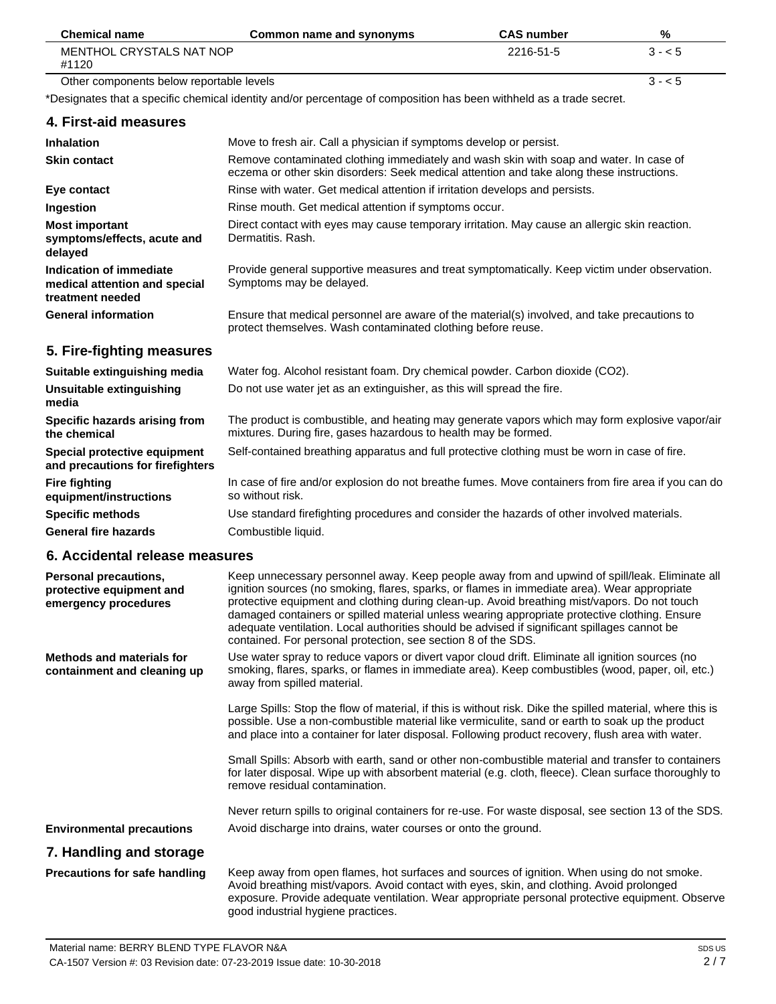| <b>Chemical name</b>                                                         | Common name and synonyms                                                                                                                                                            | <b>CAS number</b> | %       |
|------------------------------------------------------------------------------|-------------------------------------------------------------------------------------------------------------------------------------------------------------------------------------|-------------------|---------|
| <b>MENTHOL CRYSTALS NAT NOP</b><br>#1120                                     |                                                                                                                                                                                     | 2216-51-5         | $3 - 5$ |
| Other components below reportable levels                                     |                                                                                                                                                                                     |                   | $3 - 5$ |
|                                                                              | *Designates that a specific chemical identity and/or percentage of composition has been withheld as a trade secret.                                                                 |                   |         |
| 4. First-aid measures                                                        |                                                                                                                                                                                     |                   |         |
| <b>Inhalation</b>                                                            | Move to fresh air. Call a physician if symptoms develop or persist.                                                                                                                 |                   |         |
| <b>Skin contact</b>                                                          | Remove contaminated clothing immediately and wash skin with soap and water. In case of<br>eczema or other skin disorders: Seek medical attention and take along these instructions. |                   |         |
| Eye contact                                                                  | Rinse with water. Get medical attention if irritation develops and persists.                                                                                                        |                   |         |
| Ingestion                                                                    | Rinse mouth. Get medical attention if symptoms occur.                                                                                                                               |                   |         |
| <b>Most important</b><br>symptoms/effects, acute and<br>delayed              | Direct contact with eyes may cause temporary irritation. May cause an allergic skin reaction.<br>Dermatitis, Rash.                                                                  |                   |         |
| Indication of immediate<br>medical attention and special<br>treatment needed | Provide general supportive measures and treat symptomatically. Keep victim under observation.<br>Symptoms may be delayed.                                                           |                   |         |
| <b>General information</b>                                                   | Ensure that medical personnel are aware of the material(s) involved, and take precautions to<br>protect themselves. Wash contaminated clothing before reuse.                        |                   |         |
| 5. Fire-fighting measures                                                    |                                                                                                                                                                                     |                   |         |
| Suitable extinguishing media                                                 | Water fog. Alcohol resistant foam. Dry chemical powder. Carbon dioxide (CO2).                                                                                                       |                   |         |
| Unsuitable extinguishing<br>media                                            | Do not use water jet as an extinguisher, as this will spread the fire.                                                                                                              |                   |         |

**Specific hazards arising from the chemical Special protective equipment and precautions for firefighters Fire fighting equipment/instructions** The product is combustible, and heating may generate vapors which may form explosive vapor/air mixtures. During fire, gases hazardous to health may be formed. Self-contained breathing apparatus and full protective clothing must be worn in case of fire. In case of fire and/or explosion do not breathe fumes. Move containers from fire area if you can do so without risk.

**General fire hazards** Use standard firefighting procedures and consider the hazards of other involved materials. Combustible liquid.

# **6. Accidental release measures**

**Specific methods** 

| Personal precautions,<br>protective equipment and<br>emergency procedures | Keep unnecessary personnel away. Keep people away from and upwind of spill/leak. Eliminate all<br>ignition sources (no smoking, flares, sparks, or flames in immediate area). Wear appropriate<br>protective equipment and clothing during clean-up. Avoid breathing mist/vapors. Do not touch<br>damaged containers or spilled material unless wearing appropriate protective clothing. Ensure<br>adequate ventilation. Local authorities should be advised if significant spillages cannot be<br>contained. For personal protection, see section 8 of the SDS. |
|---------------------------------------------------------------------------|------------------------------------------------------------------------------------------------------------------------------------------------------------------------------------------------------------------------------------------------------------------------------------------------------------------------------------------------------------------------------------------------------------------------------------------------------------------------------------------------------------------------------------------------------------------|
| <b>Methods and materials for</b><br>containment and cleaning up           | Use water spray to reduce vapors or divert vapor cloud drift. Eliminate all ignition sources (no<br>smoking, flares, sparks, or flames in immediate area). Keep combustibles (wood, paper, oil, etc.)<br>away from spilled material.                                                                                                                                                                                                                                                                                                                             |
|                                                                           | Large Spills: Stop the flow of material, if this is without risk. Dike the spilled material, where this is<br>possible. Use a non-combustible material like vermiculite, sand or earth to soak up the product<br>and place into a container for later disposal. Following product recovery, flush area with water.                                                                                                                                                                                                                                               |
|                                                                           | Small Spills: Absorb with earth, sand or other non-combustible material and transfer to containers<br>for later disposal. Wipe up with absorbent material (e.g. cloth, fleece). Clean surface thoroughly to<br>remove residual contamination.                                                                                                                                                                                                                                                                                                                    |
|                                                                           | Never return spills to original containers for re-use. For waste disposal, see section 13 of the SDS.                                                                                                                                                                                                                                                                                                                                                                                                                                                            |
| <b>Environmental precautions</b>                                          | Avoid discharge into drains, water courses or onto the ground.                                                                                                                                                                                                                                                                                                                                                                                                                                                                                                   |
| 7. Handling and storage                                                   |                                                                                                                                                                                                                                                                                                                                                                                                                                                                                                                                                                  |
| Precautions for safe handling                                             | Keep away from open flames, hot surfaces and sources of ignition. When using do not smoke.<br>Avoid breathing mist/vapors. Avoid contact with eyes, skin, and clothing. Avoid prolonged<br>exposure. Provide adequate ventilation. Wear appropriate personal protective equipment. Observe                                                                                                                                                                                                                                                                       |

good industrial hygiene practices.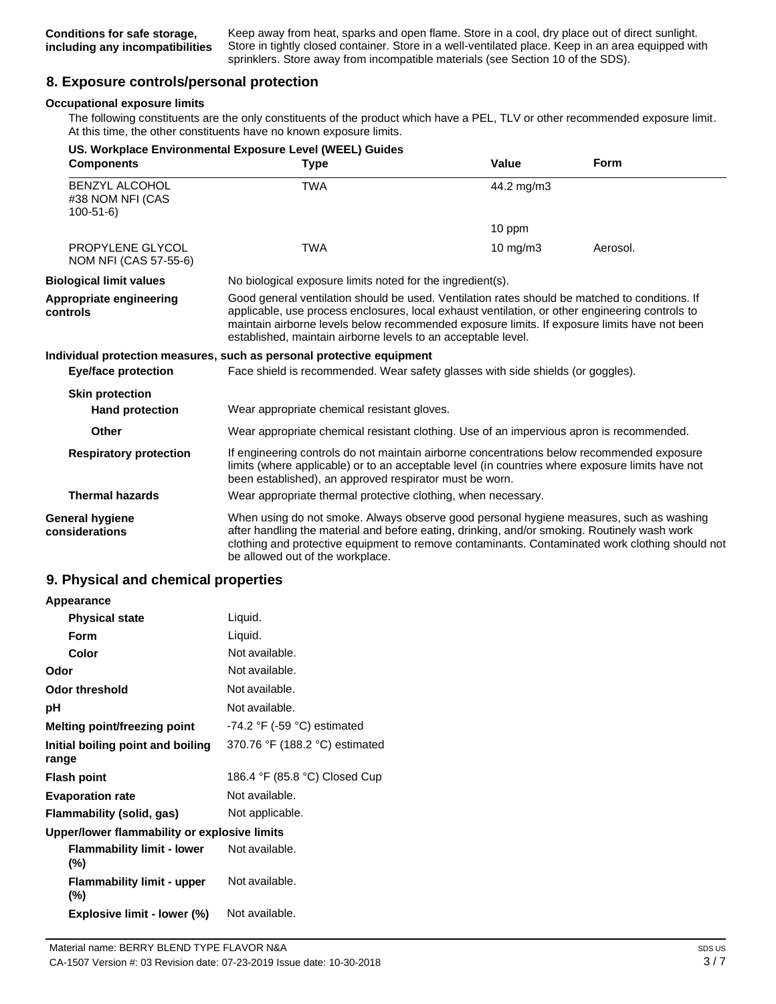Keep away from heat, sparks and open flame. Store in a cool, dry place out of direct sunlight. Store in tightly closed container. Store in a well-ventilated place. Keep in an area equipped with sprinklers. Store away from incompatible materials (see Section 10 of the SDS).

# **8. Exposure controls/personal protection**

#### **Occupational exposure limits**

The following constituents are the only constituents of the product which have a PEL, TLV or other recommended exposure limit. At this time, the other constituents have no known exposure limits.

| <b>Components</b>                                           | US. Workplace Environmental Exposure Level (WEEL) Guides<br><b>Type</b>                                                                                                                                                                                                                                                                                            | <b>Value</b> | <b>Form</b> |
|-------------------------------------------------------------|--------------------------------------------------------------------------------------------------------------------------------------------------------------------------------------------------------------------------------------------------------------------------------------------------------------------------------------------------------------------|--------------|-------------|
| <b>BENZYL ALCOHOL</b><br>#38 NOM NFI (CAS<br>$100 - 51 - 6$ | <b>TWA</b>                                                                                                                                                                                                                                                                                                                                                         | 44.2 mg/m3   |             |
|                                                             |                                                                                                                                                                                                                                                                                                                                                                    | 10 ppm       |             |
| PROPYLENE GLYCOL<br>NOM NFI (CAS 57-55-6)                   | <b>TWA</b>                                                                                                                                                                                                                                                                                                                                                         | 10 $mg/m3$   | Aerosol.    |
| <b>Biological limit values</b>                              | No biological exposure limits noted for the ingredient(s).                                                                                                                                                                                                                                                                                                         |              |             |
| Appropriate engineering<br>controls                         | Good general ventilation should be used. Ventilation rates should be matched to conditions. If<br>applicable, use process enclosures, local exhaust ventilation, or other engineering controls to<br>maintain airborne levels below recommended exposure limits. If exposure limits have not been<br>established, maintain airborne levels to an acceptable level. |              |             |
|                                                             | Individual protection measures, such as personal protective equipment                                                                                                                                                                                                                                                                                              |              |             |
| <b>Eye/face protection</b>                                  | Face shield is recommended. Wear safety glasses with side shields (or goggles).                                                                                                                                                                                                                                                                                    |              |             |
| <b>Skin protection</b><br><b>Hand protection</b>            | Wear appropriate chemical resistant gloves.                                                                                                                                                                                                                                                                                                                        |              |             |
| Other                                                       | Wear appropriate chemical resistant clothing. Use of an impervious apron is recommended.                                                                                                                                                                                                                                                                           |              |             |
| <b>Respiratory protection</b>                               | If engineering controls do not maintain airborne concentrations below recommended exposure<br>limits (where applicable) or to an acceptable level (in countries where exposure limits have not<br>been established), an approved respirator must be worn.                                                                                                          |              |             |
| <b>Thermal hazards</b>                                      | Wear appropriate thermal protective clothing, when necessary.                                                                                                                                                                                                                                                                                                      |              |             |
| <b>General hygiene</b><br>considerations                    | When using do not smoke. Always observe good personal hygiene measures, such as washing<br>after handling the material and before eating, drinking, and/or smoking. Routinely wash work<br>clothing and protective equipment to remove contaminants. Contaminated work clothing should not<br>be allowed out of the workplace.                                     |              |             |

#### **9. Physical and chemical properties**

| Appearance                                   |                                  |
|----------------------------------------------|----------------------------------|
| <b>Physical state</b>                        | Liquid.                          |
| Form                                         | Liquid.                          |
| Color                                        | Not available.                   |
| Odor                                         | Not available.                   |
| Odor threshold                               | Not available.                   |
| рH                                           | Not available.                   |
| Melting point/freezing point                 | $-74.2$ °F ( $-59$ °C) estimated |
| Initial boiling point and boiling<br>range   | 370.76 °F (188.2 °C) estimated   |
| <b>Flash point</b>                           | 186.4 °F (85.8 °C) Closed Cup    |
| <b>Evaporation rate</b>                      | Not available.                   |
| Flammability (solid, gas)                    | Not applicable.                  |
| Upper/lower flammability or explosive limits |                                  |
| <b>Flammability limit - lower</b><br>(%)     | Not available.                   |
| <b>Flammability limit - upper</b><br>(%)     | Not available.                   |

**Explosive limit - lower (%)** Not available.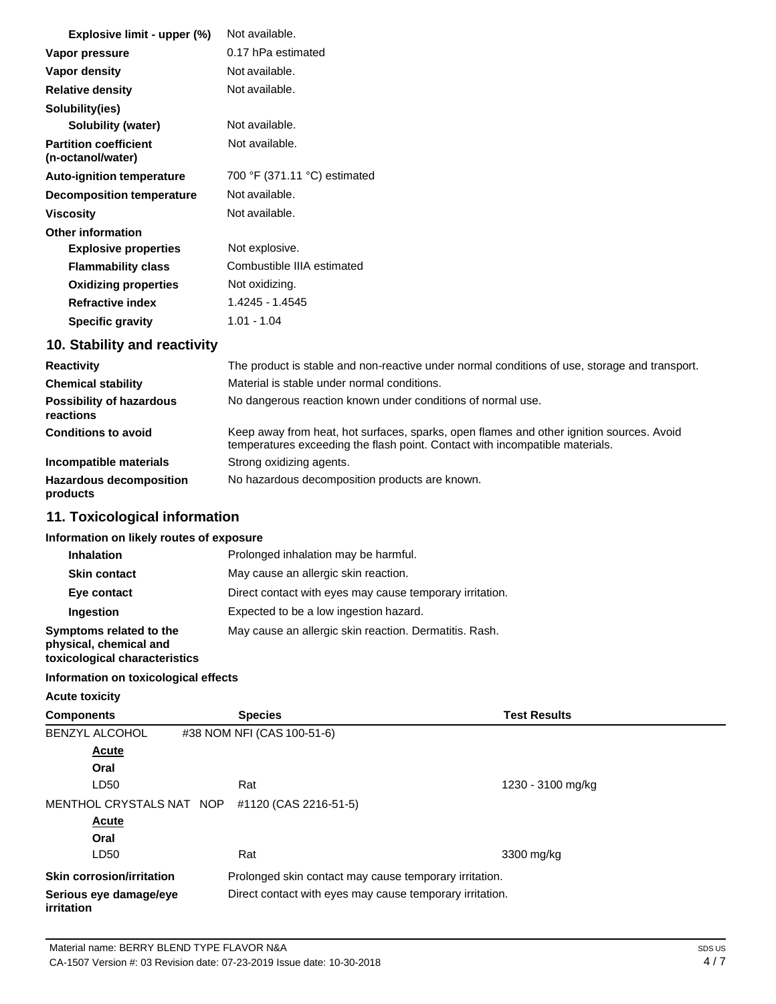| Explosive limit - upper (%)                       | Not available.               |
|---------------------------------------------------|------------------------------|
| Vapor pressure                                    | 0.17 hPa estimated           |
| Vapor density                                     | Not available.               |
| <b>Relative density</b>                           | Not available.               |
| Solubility(ies)                                   |                              |
| Solubility (water)                                | Not available.               |
| <b>Partition coefficient</b><br>(n-octanol/water) | Not available.               |
| <b>Auto-ignition temperature</b>                  | 700 °F (371.11 °C) estimated |
| <b>Decomposition temperature</b>                  | Not available.               |
| <b>Viscosity</b>                                  | Not available.               |
| <b>Other information</b>                          |                              |
| <b>Explosive properties</b>                       | Not explosive.               |
| <b>Flammability class</b>                         | Combustible IIIA estimated   |
| <b>Oxidizing properties</b>                       | Not oxidizing.               |
| <b>Refractive index</b>                           | 1.4245 - 1.4545              |
| <b>Specific gravity</b>                           | $1.01 - 1.04$                |

# **10. Stability and reactivity**

| <b>Reactivity</b>                            | The product is stable and non-reactive under normal conditions of use, storage and transport.                                                                            |  |
|----------------------------------------------|--------------------------------------------------------------------------------------------------------------------------------------------------------------------------|--|
| <b>Chemical stability</b>                    | Material is stable under normal conditions.                                                                                                                              |  |
| <b>Possibility of hazardous</b><br>reactions | No dangerous reaction known under conditions of normal use.                                                                                                              |  |
| <b>Conditions to avoid</b>                   | Keep away from heat, hot surfaces, sparks, open flames and other ignition sources. Avoid<br>temperatures exceeding the flash point. Contact with incompatible materials. |  |
| Incompatible materials                       | Strong oxidizing agents.                                                                                                                                                 |  |
| <b>Hazardous decomposition</b><br>products   | No hazardous decomposition products are known.                                                                                                                           |  |

# **11. Toxicological information**

### **Information on likely routes of exposure**

| <b>Inhalation</b>                                                                  | Prolonged inhalation may be harmful.                     |
|------------------------------------------------------------------------------------|----------------------------------------------------------|
| <b>Skin contact</b>                                                                | May cause an allergic skin reaction.                     |
| Eye contact                                                                        | Direct contact with eyes may cause temporary irritation. |
| Ingestion                                                                          | Expected to be a low ingestion hazard.                   |
| Symptoms related to the<br>physical, chemical and<br>toxicological characteristics | May cause an allergic skin reaction. Dermatitis. Rash.   |

#### **Information on toxicological effects**

**Acute toxicity**

| <b>Components</b>                           | <b>Species</b>             | <b>Test Results</b>                                      |  |
|---------------------------------------------|----------------------------|----------------------------------------------------------|--|
| <b>BENZYL ALCOHOL</b>                       | #38 NOM NFI (CAS 100-51-6) |                                                          |  |
| <b>Acute</b>                                |                            |                                                          |  |
| Oral                                        |                            |                                                          |  |
| LD50                                        | Rat                        | 1230 - 3100 mg/kg                                        |  |
| MENTHOL CRYSTALS NAT NOP                    | #1120 (CAS 2216-51-5)      |                                                          |  |
| Acute                                       |                            |                                                          |  |
| Oral                                        |                            |                                                          |  |
| LD50                                        | Rat                        | 3300 mg/kg                                               |  |
| <b>Skin corrosion/irritation</b>            |                            | Prolonged skin contact may cause temporary irritation.   |  |
| Serious eye damage/eye<br><i>irritation</i> |                            | Direct contact with eyes may cause temporary irritation. |  |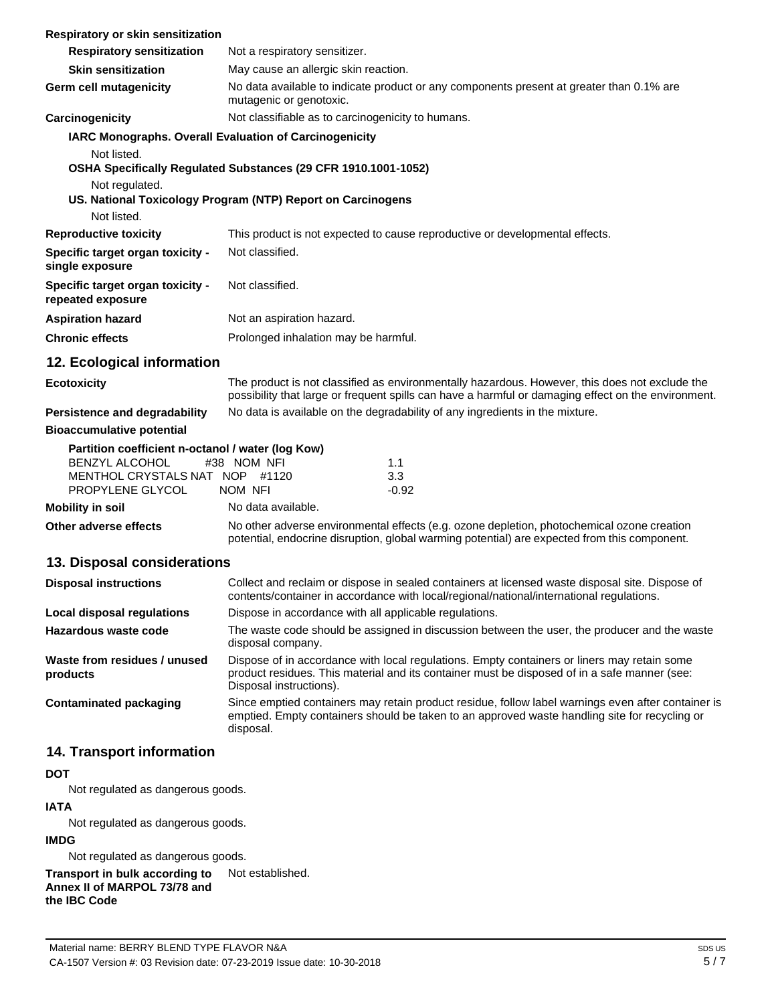| Respiratory or skin sensitization                                                                                                |                                                                                                                                                                                                                        |  |  |  |
|----------------------------------------------------------------------------------------------------------------------------------|------------------------------------------------------------------------------------------------------------------------------------------------------------------------------------------------------------------------|--|--|--|
| <b>Respiratory sensitization</b>                                                                                                 | Not a respiratory sensitizer.                                                                                                                                                                                          |  |  |  |
| <b>Skin sensitization</b>                                                                                                        | May cause an allergic skin reaction.                                                                                                                                                                                   |  |  |  |
| <b>Germ cell mutagenicity</b>                                                                                                    | No data available to indicate product or any components present at greater than 0.1% are<br>mutagenic or genotoxic.                                                                                                    |  |  |  |
| Carcinogenicity                                                                                                                  | Not classifiable as to carcinogenicity to humans.                                                                                                                                                                      |  |  |  |
| IARC Monographs. Overall Evaluation of Carcinogenicity                                                                           |                                                                                                                                                                                                                        |  |  |  |
| Not listed.                                                                                                                      | OSHA Specifically Regulated Substances (29 CFR 1910.1001-1052)                                                                                                                                                         |  |  |  |
| Not regulated.                                                                                                                   | US. National Toxicology Program (NTP) Report on Carcinogens                                                                                                                                                            |  |  |  |
| Not listed.                                                                                                                      |                                                                                                                                                                                                                        |  |  |  |
| <b>Reproductive toxicity</b>                                                                                                     | This product is not expected to cause reproductive or developmental effects.                                                                                                                                           |  |  |  |
| Specific target organ toxicity -<br>single exposure                                                                              | Not classified.                                                                                                                                                                                                        |  |  |  |
| Specific target organ toxicity -<br>repeated exposure                                                                            | Not classified.                                                                                                                                                                                                        |  |  |  |
| <b>Aspiration hazard</b>                                                                                                         | Not an aspiration hazard.                                                                                                                                                                                              |  |  |  |
| <b>Chronic effects</b>                                                                                                           | Prolonged inhalation may be harmful.                                                                                                                                                                                   |  |  |  |
| 12. Ecological information                                                                                                       |                                                                                                                                                                                                                        |  |  |  |
| <b>Ecotoxicity</b>                                                                                                               | The product is not classified as environmentally hazardous. However, this does not exclude the<br>possibility that large or frequent spills can have a harmful or damaging effect on the environment.                  |  |  |  |
| Persistence and degradability                                                                                                    | No data is available on the degradability of any ingredients in the mixture.                                                                                                                                           |  |  |  |
| <b>Bioaccumulative potential</b>                                                                                                 |                                                                                                                                                                                                                        |  |  |  |
| Partition coefficient n-octanol / water (log Kow)<br><b>BENZYL ALCOHOL</b><br>MENTHOL CRYSTALS NAT NOP #1120<br>PROPYLENE GLYCOL | #38 NOM NFI<br>1.1<br>3.3<br>NOM NFI<br>$-0.92$                                                                                                                                                                        |  |  |  |
| <b>Mobility in soil</b>                                                                                                          | No data available.                                                                                                                                                                                                     |  |  |  |
| Other adverse effects                                                                                                            | No other adverse environmental effects (e.g. ozone depletion, photochemical ozone creation<br>potential, endocrine disruption, global warming potential) are expected from this component.                             |  |  |  |
| 13. Disposal considerations                                                                                                      |                                                                                                                                                                                                                        |  |  |  |
| <b>Disposal instructions</b>                                                                                                     | Collect and reclaim or dispose in sealed containers at licensed waste disposal site. Dispose of<br>contents/container in accordance with local/regional/national/international regulations.                            |  |  |  |
| <b>Local disposal regulations</b>                                                                                                | Dispose in accordance with all applicable regulations.                                                                                                                                                                 |  |  |  |
| Hazardous waste code                                                                                                             | The waste code should be assigned in discussion between the user, the producer and the waste<br>disposal company.                                                                                                      |  |  |  |
| Waste from residues / unused<br>products                                                                                         | Dispose of in accordance with local regulations. Empty containers or liners may retain some<br>product residues. This material and its container must be disposed of in a safe manner (see:<br>Disposal instructions). |  |  |  |
| <b>Contaminated packaging</b>                                                                                                    | Since emptied containers may retain product residue, follow label warnings even after container is<br>emptied. Empty containers should be taken to an approved waste handling site for recycling or<br>disposal.       |  |  |  |
| 14. Transport information                                                                                                        |                                                                                                                                                                                                                        |  |  |  |
| <b>DOT</b>                                                                                                                       |                                                                                                                                                                                                                        |  |  |  |
| Not regulated as dangerous goods.                                                                                                |                                                                                                                                                                                                                        |  |  |  |
| <b>IATA</b>                                                                                                                      |                                                                                                                                                                                                                        |  |  |  |
| Not regulated as dangerous goods.                                                                                                |                                                                                                                                                                                                                        |  |  |  |

**IMDG**

Not regulated as dangerous goods.

**Transport in bulk according to**  Not established.

**Annex II of MARPOL 73/78 and** 

**the IBC Code**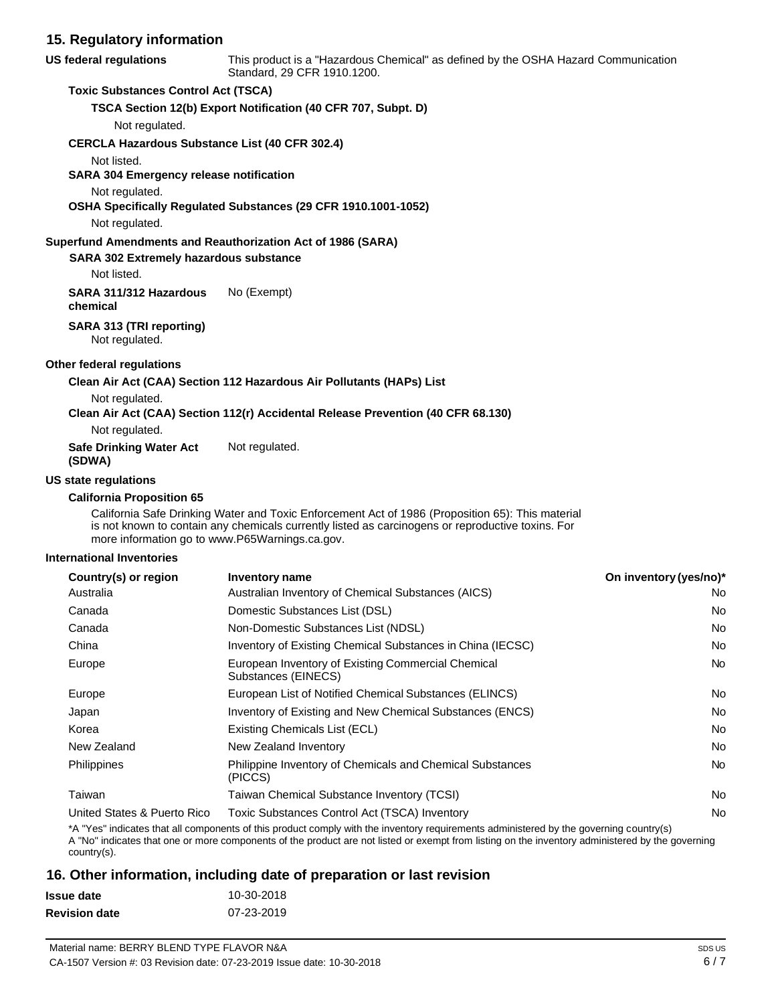| 15. Regulatory information                    |                                                                                                                                                                                                                                                         |                        |
|-----------------------------------------------|---------------------------------------------------------------------------------------------------------------------------------------------------------------------------------------------------------------------------------------------------------|------------------------|
| US federal regulations                        | This product is a "Hazardous Chemical" as defined by the OSHA Hazard Communication<br>Standard, 29 CFR 1910.1200.                                                                                                                                       |                        |
| <b>Toxic Substances Control Act (TSCA)</b>    |                                                                                                                                                                                                                                                         |                        |
|                                               | TSCA Section 12(b) Export Notification (40 CFR 707, Subpt. D)                                                                                                                                                                                           |                        |
| Not regulated.                                |                                                                                                                                                                                                                                                         |                        |
|                                               | <b>CERCLA Hazardous Substance List (40 CFR 302.4)</b>                                                                                                                                                                                                   |                        |
| Not listed.                                   |                                                                                                                                                                                                                                                         |                        |
| SARA 304 Emergency release notification       |                                                                                                                                                                                                                                                         |                        |
| Not regulated.                                |                                                                                                                                                                                                                                                         |                        |
| Not regulated.                                | OSHA Specifically Regulated Substances (29 CFR 1910.1001-1052)                                                                                                                                                                                          |                        |
|                                               | Superfund Amendments and Reauthorization Act of 1986 (SARA)                                                                                                                                                                                             |                        |
| <b>SARA 302 Extremely hazardous substance</b> |                                                                                                                                                                                                                                                         |                        |
| Not listed.                                   |                                                                                                                                                                                                                                                         |                        |
| SARA 311/312 Hazardous<br>chemical            | No (Exempt)                                                                                                                                                                                                                                             |                        |
| SARA 313 (TRI reporting)<br>Not regulated.    |                                                                                                                                                                                                                                                         |                        |
| <b>Other federal regulations</b>              |                                                                                                                                                                                                                                                         |                        |
|                                               | Clean Air Act (CAA) Section 112 Hazardous Air Pollutants (HAPs) List                                                                                                                                                                                    |                        |
| Not regulated.                                |                                                                                                                                                                                                                                                         |                        |
|                                               | Clean Air Act (CAA) Section 112(r) Accidental Release Prevention (40 CFR 68.130)                                                                                                                                                                        |                        |
| Not regulated.                                |                                                                                                                                                                                                                                                         |                        |
| <b>Safe Drinking Water Act</b><br>(SDWA)      | Not regulated.                                                                                                                                                                                                                                          |                        |
| US state regulations                          |                                                                                                                                                                                                                                                         |                        |
| <b>California Proposition 65</b>              | California Safe Drinking Water and Toxic Enforcement Act of 1986 (Proposition 65): This material<br>is not known to contain any chemicals currently listed as carcinogens or reproductive toxins. For<br>more information go to www.P65Warnings.ca.gov. |                        |
| <b>International Inventories</b>              |                                                                                                                                                                                                                                                         |                        |
| Country(s) or region                          | <b>Inventory name</b>                                                                                                                                                                                                                                   | On inventory (yes/no)* |
| Australia                                     | Australian Inventory of Chemical Substances (AICS)                                                                                                                                                                                                      | No                     |
| Canada                                        | Domestic Substances List (DSL)                                                                                                                                                                                                                          | No                     |
| Canada                                        | Non-Domestic Substances List (NDSL)                                                                                                                                                                                                                     | No                     |
| China                                         | Inventory of Existing Chemical Substances in China (IECSC)                                                                                                                                                                                              | No                     |

United States & Puerto Rico Toxic Substances Control Act (TSCA) Inventory No No

Substances (EINECS)

\*A "Yes" indicates that all components of this product comply with the inventory requirements administered by the governing country(s)

A "No" indicates that one or more components of the product are not listed or exempt from listing on the inventory administered by the governing country(s).

Taiwan Taiwan Chemical Substance Inventory (TCSI) No No

Europe **European Inventory of Existing Commercial Chemical Chemical Chemical Chemical Chemical Chemical Chemical Chemical Chemical Chemical Chemical Chemical Chemical Chemical Chemical Chemical Chemical Chemical Chemical C** 

Europe **European List of Notified Chemical Substances (ELINCS)** No Notice Note 2014 Japan **Inventory of Existing and New Chemical Substances (ENCS)** No No Korea **Existing Chemicals List (ECL)** No and the existing Chemicals List (ECL) No and the existing Chemicals List (ECL) New Zealand New Zealand Inventory No Philippines **Philippine Inventory of Chemicals and Chemical Substances** No **No** 

# **16. Other information, including date of preparation or last revision**

(PICCS)

| Issue date           | 10-30-2018 |
|----------------------|------------|
| <b>Revision date</b> | 07-23-2019 |